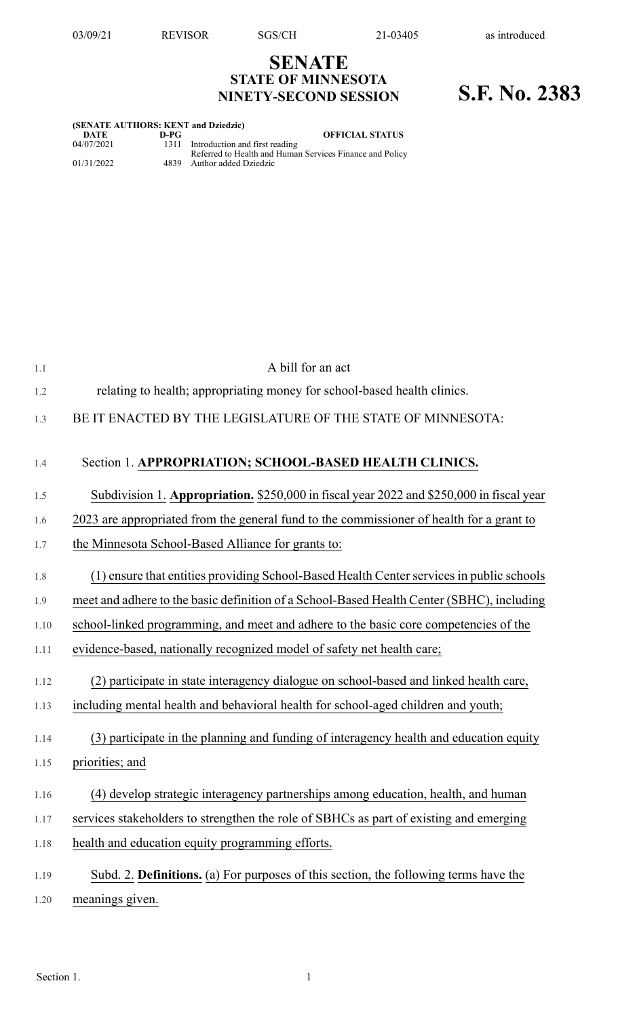## **SENATE STATE OF MINNESOTA NINETY-SECOND SESSION S.F. No. 2383**

| (SENATE AUTHORS: KENT and Dziedzic) |        |                                                                                                 |  |  |
|-------------------------------------|--------|-------------------------------------------------------------------------------------------------|--|--|
| DATE                                | $D-PC$ | <b>OFFICIAL STATUS</b>                                                                          |  |  |
| 04/07/2021                          |        | 1311 Introduction and first reading<br>Referred to Health and Human Services Finance and Policy |  |  |
| 01/31/2022                          |        | 4839 Author added Dziedzic                                                                      |  |  |

| 1.1  | A bill for an act                                                                         |
|------|-------------------------------------------------------------------------------------------|
| 1.2  | relating to health; appropriating money for school-based health clinics.                  |
| 1.3  | BE IT ENACTED BY THE LEGISLATURE OF THE STATE OF MINNESOTA:                               |
| 1.4  | Section 1. APPROPRIATION; SCHOOL-BASED HEALTH CLINICS.                                    |
| 1.5  | Subdivision 1. Appropriation. \$250,000 in fiscal year 2022 and \$250,000 in fiscal year  |
| 1.6  | 2023 are appropriated from the general fund to the commissioner of health for a grant to  |
| 1.7  | the Minnesota School-Based Alliance for grants to:                                        |
| 1.8  | (1) ensure that entities providing School-Based Health Center services in public schools  |
| 1.9  | meet and adhere to the basic definition of a School-Based Health Center (SBHC), including |
| 1.10 | school-linked programming, and meet and adhere to the basic core competencies of the      |
| 1.11 | evidence-based, nationally recognized model of safety net health care;                    |
| 1.12 | (2) participate in state interagency dialogue on school-based and linked health care,     |
| 1.13 | including mental health and behavioral health for school-aged children and youth;         |
| 1.14 | (3) participate in the planning and funding of interagency health and education equity    |
| 1.15 | priorities; and                                                                           |
| 1.16 | (4) develop strategic interagency partnerships among education, health, and human         |
| 1.17 | services stakeholders to strengthen the role of SBHCs as part of existing and emerging    |
| 1.18 | health and education equity programming efforts.                                          |
| 1.19 | Subd. 2. Definitions. (a) For purposes of this section, the following terms have the      |
| 1.20 | meanings given.                                                                           |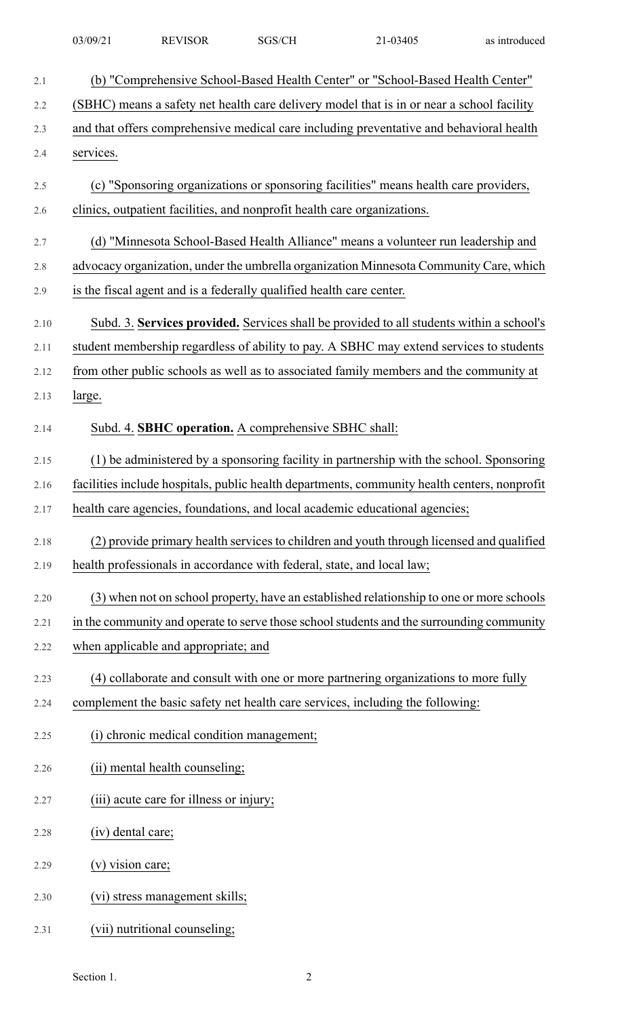| 03/09/2 | <b>REVISOR</b> | GS/CH | 03405<br>. | as introduced |
|---------|----------------|-------|------------|---------------|
|         |                |       |            |               |

| 2.1   | (b) "Comprehensive School-Based Health Center" or "School-Based Health Center"               |
|-------|----------------------------------------------------------------------------------------------|
| 2.2   | (SBHC) means a safety net health care delivery model that is in or near a school facility    |
| 2.3   | and that offers comprehensive medical care including preventative and behavioral health      |
| 2.4   | services.                                                                                    |
| $2.5$ | (c) "Sponsoring organizations or sponsoring facilities" means health care providers,         |
| 2.6   | clinics, outpatient facilities, and nonprofit health care organizations.                     |
| 2.7   | (d) "Minnesota School-Based Health Alliance" means a volunteer run leadership and            |
| 2.8   | advocacy organization, under the umbrella organization Minnesota Community Care, which       |
| 2.9   | is the fiscal agent and is a federally qualified health care center.                         |
| 2.10  | Subd. 3. Services provided. Services shall be provided to all students within a school's     |
| 2.11  | student membership regardless of ability to pay. A SBHC may extend services to students      |
| 2.12  | from other public schools as well as to associated family members and the community at       |
| 2.13  | large.                                                                                       |
| 2.14  | Subd. 4. SBHC operation. A comprehensive SBHC shall:                                         |
| 2.15  | (1) be administered by a sponsoring facility in partnership with the school. Sponsoring      |
| 2.16  | facilities include hospitals, public health departments, community health centers, nonprofit |
| 2.17  | health care agencies, foundations, and local academic educational agencies;                  |
| 2.18  | (2) provide primary health services to children and youth through licensed and qualified     |
| 2.19  | health professionals in accordance with federal, state, and local law;                       |
| 2.20  | (3) when not on school property, have an established relationship to one or more schools     |
| 2.21  | in the community and operate to serve those school students and the surrounding community    |
| 2.22  | when applicable and appropriate; and                                                         |
| 2.23  | (4) collaborate and consult with one or more partnering organizations to more fully          |
| 2.24  | complement the basic safety net health care services, including the following:               |
| 2.25  | (i) chronic medical condition management;                                                    |
| 2.26  | (ii) mental health counseling;                                                               |
| 2.27  | (iii) acute care for illness or injury;                                                      |
| 2.28  | (iv) dental care;                                                                            |
| 2.29  | (v) vision care;                                                                             |
| 2.30  | (vi) stress management skills;                                                               |
| 2.31  | (vii) nutritional counseling;                                                                |

Section 1. 2